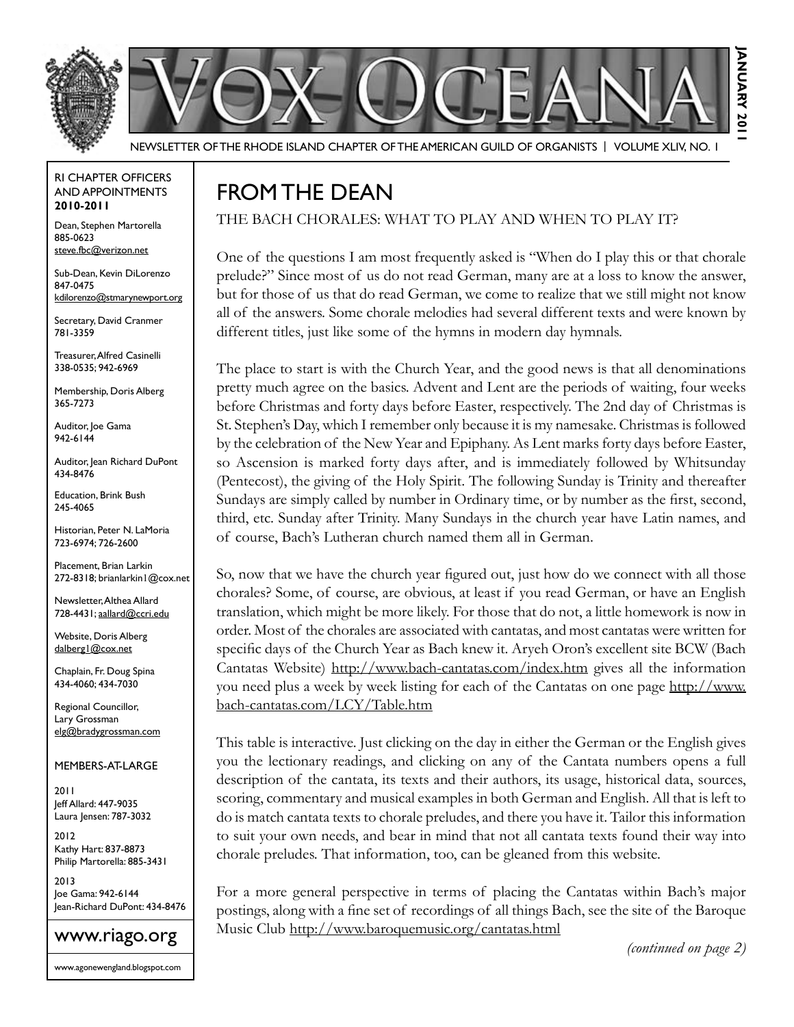

Newsletter of the Rhode Island Chapter of the American Guild of OrganistS | Volume XLIV, No. 1

#### RI Chapter Officers and Appointments **2010-2011**

Dean, Stephen Martorella 885-0623 steve.fbc@verizon.net

Sub-Dean, Kevin DiLorenzo 847-0475 kdilorenzo@stmarynewport.org

Secretary, David Cranmer 781-3359

Treasurer, Alfred Casinelli 338-0535; 942-6969

Membership, Doris Alberg 365-7273

Auditor, loe Gama 942-6144

Auditor, Jean Richard DuPont 434-8476

Education, Brink Bush 245-4065

Historian, Peter N. LaMoria 723-6974; 726-2600

Placement, Brian Larkin 272-8318; brianlarkin1@cox.net

Newsletter, Althea Allard 728-4431; aallard@ccri.edu

Website, Doris Alberg dalberg1@cox.net

Chaplain, Fr. Doug Spina 434-4060; 434-7030

Regional Councillor, Lary Grossman elg@bradygrossman.com

#### Members-at-Large

2011 Jeff Allard: 447-9035 Laura Jensen: 787-3032

2012 Kathy Hart: 837-8873 Philip Martorella: 885-3431

2013 Joe Gama: 942-6144 Jean-Richard DuPont: 434-8476

### www.riago.org

www.agonewengland.blogspot.com

## FROM THE DEAN

The Bach Chorales: What to play and when to play it?

One of the questions I am most frequently asked is "When do I play this or that chorale prelude?" Since most of us do not read German, many are at a loss to know the answer, but for those of us that do read German, we come to realize that we still might not know all of the answers. Some chorale melodies had several different texts and were known by different titles, just like some of the hymns in modern day hymnals.

The place to start is with the Church Year, and the good news is that all denominations pretty much agree on the basics. Advent and Lent are the periods of waiting, four weeks before Christmas and forty days before Easter, respectively. The 2nd day of Christmas is St. Stephen's Day, which I remember only because it is my namesake. Christmas is followed by the celebration of the New Year and Epiphany. As Lent marks forty days before Easter, so Ascension is marked forty days after, and is immediately followed by Whitsunday (Pentecost), the giving of the Holy Spirit. The following Sunday is Trinity and thereafter Sundays are simply called by number in Ordinary time, or by number as the first, second, third, etc. Sunday after Trinity. Many Sundays in the church year have Latin names, and of course, Bach's Lutheran church named them all in German.

So, now that we have the church year figured out, just how do we connect with all those chorales? Some, of course, are obvious, at least if you read German, or have an English translation, which might be more likely. For those that do not, a little homework is now in order. Most of the chorales are associated with cantatas, and most cantatas were written for specific days of the Church Year as Bach knew it. Aryeh Oron's excellent site BCW (Bach Cantatas Website) http://www.bach-cantatas.com/index.htm gives all the information you need plus a week by week listing for each of the Cantatas on one page http://www. bach-cantatas.com/LCY/Table.htm

This table is interactive. Just clicking on the day in either the German or the English gives you the lectionary readings, and clicking on any of the Cantata numbers opens a full description of the cantata, its texts and their authors, its usage, historical data, sources, scoring, commentary and musical examples in both German and English. All that is left to do is match cantata texts to chorale preludes, and there you have it. Tailor this information to suit your own needs, and bear in mind that not all cantata texts found their way into chorale preludes. That information, too, can be gleaned from this website.

For a more general perspective in terms of placing the Cantatas within Bach's major postings, along with a fine set of recordings of all things Bach, see the site of the Baroque Music Club http://www.baroquemusic.org/cantatas.html

*(continued on page 2)*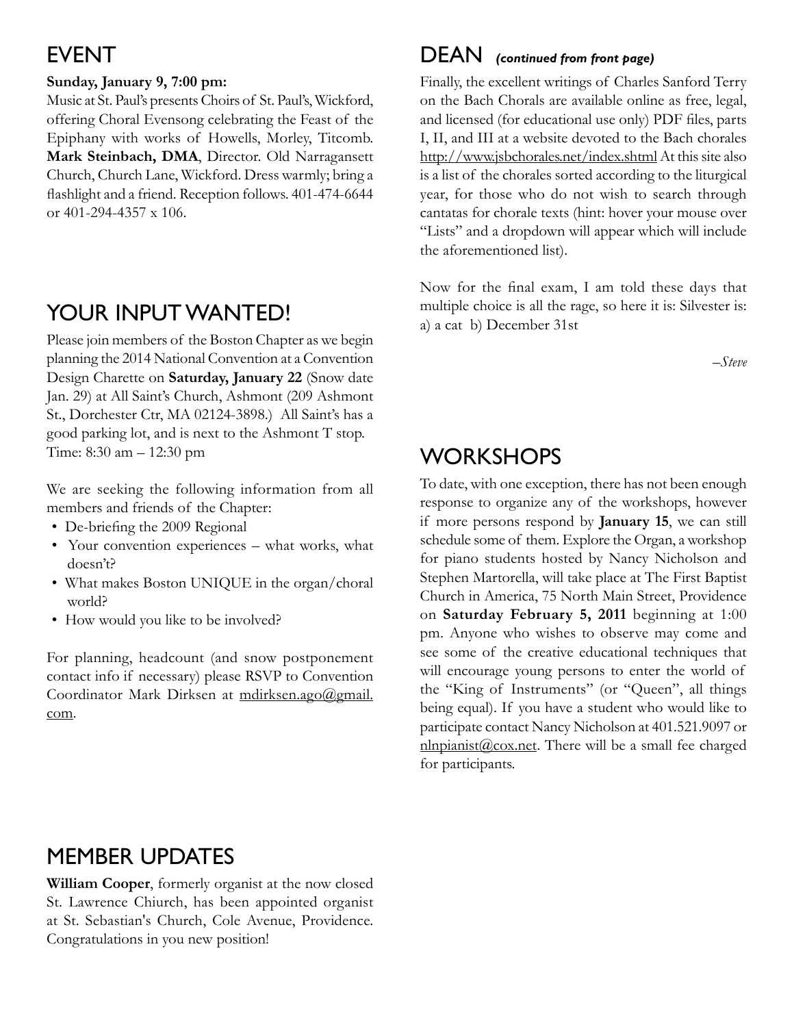## **EVENT**

### **Sunday, January 9, 7:00 pm:**

Music at St. Paul's presents Choirs of St. Paul's, Wickford, offering Choral Evensong celebrating the Feast of the Epiphany with works of Howells, Morley, Titcomb. **Mark Steinbach, DMA**, Director. Old Narragansett Church, Church Lane, Wickford. Dress warmly; bring a flashlight and a friend. Reception follows. 401-474-6644 or 401-294-4357 x 106.

# YOUR INPUT WANTED!

Please join members of the Boston Chapter as we begin planning the 2014 National Convention at a Convention Design Charette on **Saturday, January 22** (Snow date Jan. 29) at All Saint's Church, Ashmont (209 Ashmont St., Dorchester Ctr, MA 02124-3898.) All Saint's has a good parking lot, and is next to the Ashmont T stop. Time: 8:30 am – 12:30 pm

We are seeking the following information from all members and friends of the Chapter:

- De-briefing the 2009 Regional
- Your convention experiences what works, what doesn't?
- What makes Boston UNIQUE in the organ/choral world?
- How would you like to be involved?

For planning, headcount (and snow postponement contact info if necessary) please RSVP to Convention Coordinator Mark Dirksen at mdirksen.ago@gmail. com.

### $DEAN$  (continued from front page)

Finally, the excellent writings of Charles Sanford Terry on the Bach Chorals are available online as free, legal, and licensed (for educational use only) PDF files, parts I, II, and III at a website devoted to the Bach chorales http://www.jsbchorales.net/index.shtml At this site also is a list of the chorales sorted according to the liturgical year, for those who do not wish to search through cantatas for chorale texts (hint: hover your mouse over "Lists" and a dropdown will appear which will include the aforementioned list).

Now for the final exam, I am told these days that multiple choice is all the rage, so here it is: Silvester is: a) a cat b) December 31st

*–Steve*

## **WORKSHOPS**

To date, with one exception, there has not been enough response to organize any of the workshops, however if more persons respond by **January 15**, we can still schedule some of them. Explore the Organ, a workshop for piano students hosted by Nancy Nicholson and Stephen Martorella, will take place at The First Baptist Church in America, 75 North Main Street, Providence on **Saturday February 5, 2011** beginning at 1:00 pm. Anyone who wishes to observe may come and see some of the creative educational techniques that will encourage young persons to enter the world of the "King of Instruments" (or "Queen", all things being equal). If you have a student who would like to participate contact Nancy Nicholson at 401.521.9097 or  $n$ lnpianist $@cos.net$ . There will be a small fee charged for participants.

## Member Updates

**William Cooper**, formerly organist at the now closed St. Lawrence Chiurch, has been appointed organist at St. Sebastian's Church, Cole Avenue, Providence. Congratulations in you new position!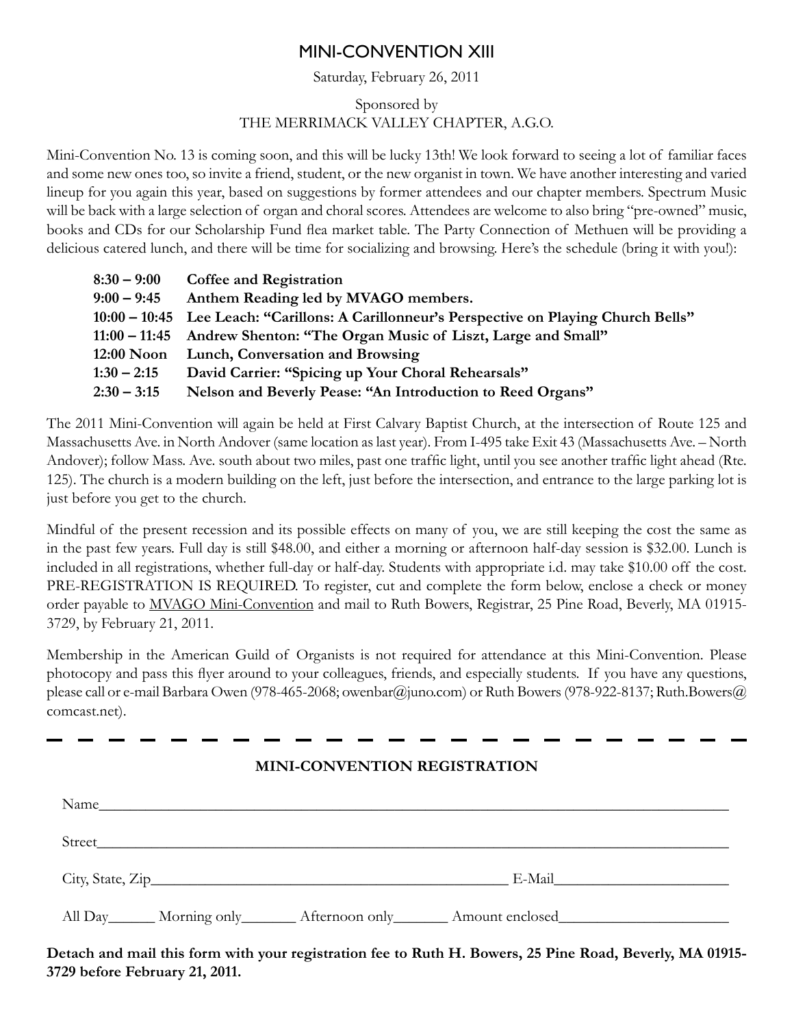### Mini-convention XIII

### Saturday, February 26, 2011

### Sponsored by THE MERRIMACK VALLEY CHAPTER, A.G.O.

Mini-Convention No. 13 is coming soon, and this will be lucky 13th! We look forward to seeing a lot of familiar faces and some new ones too, so invite a friend, student, or the new organist in town. We have another interesting and varied lineup for you again this year, based on suggestions by former attendees and our chapter members. Spectrum Music will be back with a large selection of organ and choral scores. Attendees are welcome to also bring "pre-owned" music, books and CDs for our Scholarship Fund flea market table. The Party Connection of Methuen will be providing a delicious catered lunch, and there will be time for socializing and browsing. Here's the schedule (bring it with you!):

| $8:30 - 9:00$ | <b>Coffee and Registration</b>                                                                |
|---------------|-----------------------------------------------------------------------------------------------|
| $9:00 - 9:45$ | Anthem Reading led by MVAGO members.                                                          |
|               | 10:00 – 10:45    Lee Leach: "Carillons: A Carillonneur's Perspective on Playing Church Bells" |
|               | 11:00 – 11:45 Andrew Shenton: "The Organ Music of Liszt, Large and Small"                     |
|               | 12:00 Noon Lunch, Conversation and Browsing                                                   |
| $1:30 - 2:15$ | David Carrier: "Spicing up Your Choral Rehearsals"                                            |
| $2:30 - 3:15$ | Nelson and Beverly Pease: "An Introduction to Reed Organs"                                    |
|               |                                                                                               |

The 2011 Mini-Convention will again be held at First Calvary Baptist Church, at the intersection of Route 125 and Massachusetts Ave. in North Andover (same location as last year). From I-495 take Exit 43 (Massachusetts Ave. – North Andover); follow Mass. Ave. south about two miles, past one traffic light, until you see another traffic light ahead (Rte. 125). The church is a modern building on the left, just before the intersection, and entrance to the large parking lot is just before you get to the church.

Mindful of the present recession and its possible effects on many of you, we are still keeping the cost the same as in the past few years. Full day is still \$48.00, and either a morning or afternoon half-day session is \$32.00. Lunch is included in all registrations, whether full-day or half-day. Students with appropriate i.d. may take \$10.00 off the cost. PRE-REGISTRATION IS REQUIRED. To register, cut and complete the form below, enclose a check or money order payable to MVAGO Mini-Convention and mail to Ruth Bowers, Registrar, 25 Pine Road, Beverly, MA 01915- 3729, by February 21, 2011.

Membership in the American Guild of Organists is not required for attendance at this Mini-Convention. Please photocopy and pass this flyer around to your colleagues, friends, and especially students. If you have any questions, please call or e-mail Barbara Owen (978-465-2068; owenbar@juno.com) or Ruth Bowers (978-922-8137; Ruth.Bowers@ comcast.net).

### **Mini-Convention Registration**

| Name                                                                                                                                                                                                                           |        |
|--------------------------------------------------------------------------------------------------------------------------------------------------------------------------------------------------------------------------------|--------|
| Street but the state of the state of the state of the state of the state of the state of the state of the state of the state of the state of the state of the state of the state of the state of the state of the state of the |        |
|                                                                                                                                                                                                                                | E-Mail |
| All Day Morning only Afternoon only Amount enclosed                                                                                                                                                                            |        |

**Detach and mail this form with your registration fee to Ruth H. Bowers, 25 Pine Road, Beverly, MA 01915- 3729 before February 21, 2011.**